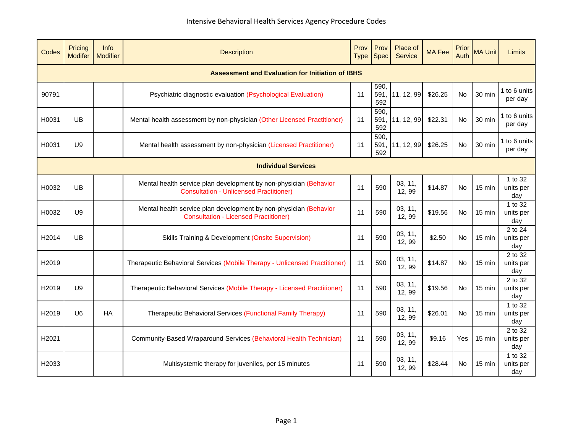| Codes                                                   | Pricing<br><b>Modifer</b> | Info<br>Modifier | <b>Description</b>                                                                                                  | Prov<br><b>Type</b> | Prov<br><b>Spec</b> | Place of<br>Service | <b>MA Fee</b> | Prior<br>Auth | <b>MA Unit</b>   | Limits                      |
|---------------------------------------------------------|---------------------------|------------------|---------------------------------------------------------------------------------------------------------------------|---------------------|---------------------|---------------------|---------------|---------------|------------------|-----------------------------|
| <b>Assessment and Evaluation for Initiation of IBHS</b> |                           |                  |                                                                                                                     |                     |                     |                     |               |               |                  |                             |
| 90791                                                   |                           |                  | Psychiatric diagnostic evaluation (Psychological Evaluation)                                                        | 11                  | 590.<br>591.<br>592 | 11, 12, 99          | \$26.25       | <b>No</b>     | 30 min           | 1 to 6 units<br>per day     |
| H0031                                                   | UB                        |                  | Mental health assessment by non-physician (Other Licensed Practitioner)                                             | 11                  | 590,<br>591,<br>592 | 11, 12, 99          | \$22.31       | <b>No</b>     | 30 min           | 1 to 6 units<br>per day     |
| H0031                                                   | U <sub>9</sub>            |                  | Mental health assessment by non-physician (Licensed Practitioner)                                                   | 11                  | 590.<br>591,<br>592 | 11, 12, 99          | \$26.25       | No.           | 30 min           | 1 to 6 units<br>per day     |
| <b>Individual Services</b>                              |                           |                  |                                                                                                                     |                     |                     |                     |               |               |                  |                             |
| H0032                                                   | UB                        |                  | Mental health service plan development by non-physician (Behavior<br><b>Consultation - Unlicensed Practitioner)</b> | 11                  | 590                 | 03, 11,<br>12, 99   | \$14.87       | <b>No</b>     | 15 min           | 1 to 32<br>units per<br>day |
| H0032                                                   | U <sub>9</sub>            |                  | Mental health service plan development by non-physician (Behavior<br><b>Consultation - Licensed Practitioner)</b>   | 11                  | 590                 | 03, 11,<br>12, 99   | \$19.56       | No            | 15 min           | 1 to 32<br>units per<br>day |
| H2014                                                   | UB                        |                  | <b>Skills Training &amp; Development (Onsite Supervision)</b>                                                       | 11                  | 590                 | 03, 11,<br>12, 99   | \$2.50        | <b>No</b>     | 15 min           | 2 to 24<br>units per<br>day |
| H2019                                                   |                           |                  | Therapeutic Behavioral Services (Mobile Therapy - Unlicensed Practitioner)                                          | 11                  | 590                 | 03, 11,<br>12, 99   | \$14.87       | No.           | $15 \text{ min}$ | 2 to 32<br>units per<br>day |
| H2019                                                   | U <sub>9</sub>            |                  | Therapeutic Behavioral Services (Mobile Therapy - Licensed Practitioner)                                            | 11                  | 590                 | 03, 11,<br>12, 99   | \$19.56       | No            | 15 min           | 2 to 32<br>units per<br>day |
| H <sub>2019</sub>                                       | U <sub>6</sub>            | HA               | Therapeutic Behavioral Services (Functional Family Therapy)                                                         | 11                  | 590                 | 03, 11,<br>12, 99   | \$26.01       | No.           | $15 \text{ min}$ | 1 to 32<br>units per<br>day |
| H <sub>2021</sub>                                       |                           |                  | Community-Based Wraparound Services (Behavioral Health Technician)                                                  | 11                  | 590                 | 03, 11,<br>12, 99   | \$9.16        | Yes           | 15 min           | 2 to 32<br>units per<br>day |
| H2033                                                   |                           |                  | Multisystemic therapy for juveniles, per 15 minutes                                                                 | 11                  | 590                 | 03, 11,<br>12, 99   | \$28.44       | No            | 15 min           | 1 to 32<br>units per<br>day |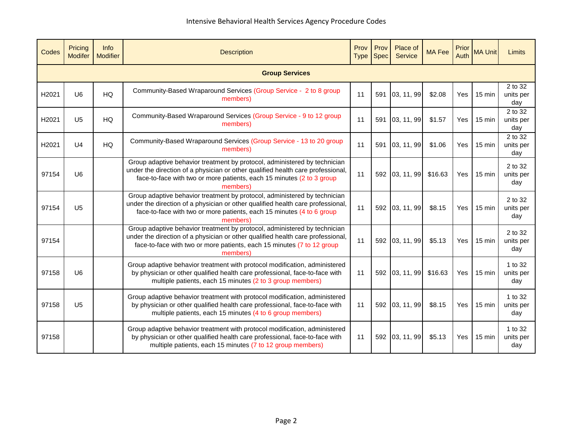| Codes                 | Pricing<br><b>Modifer</b> | <b>Info</b><br><b>Modifier</b> | <b>Description</b>                                                                                                                                                                                                                                 | Prov<br><b>Type</b> | Prov<br><b>Spec</b> | Place of<br><b>Service</b> | <b>MA Fee</b> | Prior<br>Auth | <b>MA Unit</b>   | Limits                      |
|-----------------------|---------------------------|--------------------------------|----------------------------------------------------------------------------------------------------------------------------------------------------------------------------------------------------------------------------------------------------|---------------------|---------------------|----------------------------|---------------|---------------|------------------|-----------------------------|
| <b>Group Services</b> |                           |                                |                                                                                                                                                                                                                                                    |                     |                     |                            |               |               |                  |                             |
| H2021                 | U <sub>6</sub>            | HQ                             | Community-Based Wraparound Services (Group Service - 2 to 8 group<br>members)                                                                                                                                                                      | 11                  | 591                 | 03, 11, 99                 | \$2.08        | Yes           | 15 min           | 2 to 32<br>units per<br>day |
| H2021                 | U <sub>5</sub>            | HQ                             | Community-Based Wraparound Services (Group Service - 9 to 12 group<br>members)                                                                                                                                                                     | 11                  | 591                 | 03, 11, 99                 | \$1.57        | Yes           | 15 min           | 2 to 32<br>units per<br>day |
| H2021                 | U <sub>4</sub>            | HQ                             | Community-Based Wraparound Services (Group Service - 13 to 20 group<br>members)                                                                                                                                                                    | 11                  | 591                 | 03, 11, 99                 | \$1.06        | Yes           | 15 min           | 2 to 32<br>units per<br>day |
| 97154                 | U <sub>6</sub>            |                                | Group adaptive behavior treatment by protocol, administered by technician<br>under the direction of a physician or other qualified health care professional,<br>face-to-face with two or more patients, each 15 minutes (2 to 3 group<br>members)  | 11                  | 592                 | 03, 11, 99                 | \$16.63       | Yes           | $15 \text{ min}$ | 2 to 32<br>units per<br>day |
| 97154                 | U <sub>5</sub>            |                                | Group adaptive behavior treatment by protocol, administered by technician<br>under the direction of a physician or other qualified health care professional,<br>face-to-face with two or more patients, each 15 minutes (4 to 6 group<br>members)  | 11                  | 592                 | 03, 11, 99                 | \$8.15        | <b>Yes</b>    | $15 \text{ min}$ | 2 to 32<br>units per<br>day |
| 97154                 |                           |                                | Group adaptive behavior treatment by protocol, administered by technician<br>under the direction of a physician or other qualified health care professional,<br>face-to-face with two or more patients, each 15 minutes (7 to 12 group<br>members) | 11                  | 592                 | 03, 11, 99                 | \$5.13        | Yes           | $15 \text{ min}$ | 2 to 32<br>units per<br>day |
| 97158                 | U <sub>6</sub>            |                                | Group adaptive behavior treatment with protocol modification, administered<br>by physician or other qualified health care professional, face-to-face with<br>multiple patients, each 15 minutes (2 to 3 group members)                             | 11                  | 592                 | 03, 11, 99                 | \$16.63       | Yes           | 15 min           | 1 to 32<br>units per<br>day |
| 97158                 | U <sub>5</sub>            |                                | Group adaptive behavior treatment with protocol modification, administered<br>by physician or other qualified health care professional, face-to-face with<br>multiple patients, each 15 minutes (4 to 6 group members)                             | 11                  | 592                 | 03, 11, 99                 | \$8.15        | Yes           | 15 min           | 1 to 32<br>units per<br>day |
| 97158                 |                           |                                | Group adaptive behavior treatment with protocol modification, administered<br>by physician or other qualified health care professional, face-to-face with<br>multiple patients, each 15 minutes (7 to 12 group members)                            | 11                  | 592                 | 03, 11, 99                 | \$5.13        | Yes           | $15 \text{ min}$ | 1 to 32<br>units per<br>day |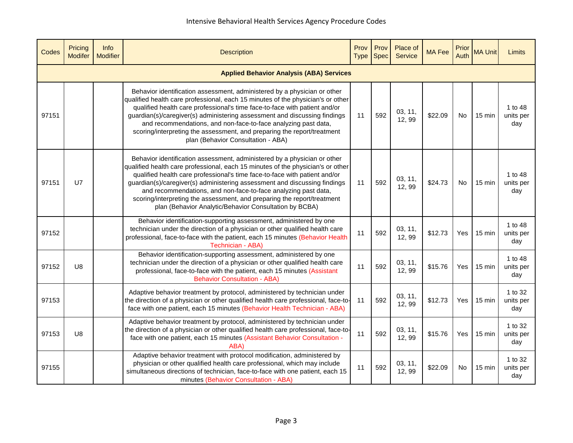| Codes                                           | Pricing<br><b>Modifer</b> | <b>Info</b><br><b>Modifier</b> | <b>Description</b>                                                                                                                                                                                                                                                                                                                                                                                                                                                                                                            | Prov<br><b>Type</b> | Prov<br><b>Spec</b> | Place of<br><b>Service</b> | <b>MA Fee</b> | Prior<br>Auth | <b>MA Unit</b>   | Limits                      |
|-------------------------------------------------|---------------------------|--------------------------------|-------------------------------------------------------------------------------------------------------------------------------------------------------------------------------------------------------------------------------------------------------------------------------------------------------------------------------------------------------------------------------------------------------------------------------------------------------------------------------------------------------------------------------|---------------------|---------------------|----------------------------|---------------|---------------|------------------|-----------------------------|
| <b>Applied Behavior Analysis (ABA) Services</b> |                           |                                |                                                                                                                                                                                                                                                                                                                                                                                                                                                                                                                               |                     |                     |                            |               |               |                  |                             |
| 97151                                           |                           |                                | Behavior identification assessment, administered by a physician or other<br>qualified health care professional, each 15 minutes of the physician's or other<br>qualified health care professional's time face-to-face with patient and/or<br>guardian(s)/caregiver(s) administering assessment and discussing findings<br>and recommendations, and non-face-to-face analyzing past data,<br>scoring/interpreting the assessment, and preparing the report/treatment<br>plan (Behavior Consultation - ABA)                     | 11                  | 592                 | 03, 11,<br>12, 99          | \$22.09       | No            | $15 \text{ min}$ | 1 to 48<br>units per<br>day |
| 97151                                           | U7                        |                                | Behavior identification assessment, administered by a physician or other<br>qualified health care professional, each 15 minutes of the physician's or other<br>qualified health care professional's time face-to-face with patient and/or<br>guardian(s)/caregiver(s) administering assessment and discussing findings<br>and recommendations, and non-face-to-face analyzing past data,<br>scoring/interpreting the assessment, and preparing the report/treatment<br>plan (Behavior Analytic/Behavior Consultation by BCBA) | 11                  | 592                 | 03, 11,<br>12, 99          | \$24.73       | No            | 15 min           | 1 to 48<br>units per<br>day |
| 97152                                           |                           |                                | Behavior identification-supporting assessment, administered by one<br>technician under the direction of a physician or other qualified health care<br>professional, face-to-face with the patient, each 15 minutes (Behavior Health<br>Technician - ABA)                                                                                                                                                                                                                                                                      | 11                  | 592                 | 03, 11,<br>12, 99          | \$12.73       | Yes           | 15 min           | 1 to 48<br>units per<br>day |
| 97152                                           | U8                        |                                | Behavior identification-supporting assessment, administered by one<br>technician under the direction of a physician or other qualified health care<br>professional, face-to-face with the patient, each 15 minutes (Assistant<br><b>Behavior Consultation - ABA)</b>                                                                                                                                                                                                                                                          | 11                  | 592                 | 03, 11,<br>12, 99          | \$15.76       | Yes           | 15 min           | 1 to 48<br>units per<br>day |
| 97153                                           |                           |                                | Adaptive behavior treatment by protocol, administered by technician under<br>the direction of a physician or other qualified health care professional, face-to-<br>face with one patient, each 15 minutes (Behavior Health Technician - ABA)                                                                                                                                                                                                                                                                                  | 11                  | 592                 | 03, 11,<br>12, 99          | \$12.73       | Yes           | $15 \text{ min}$ | 1 to 32<br>units per<br>day |
| 97153                                           | U8                        |                                | Adaptive behavior treatment by protocol, administered by technician under<br>the direction of a physician or other qualified health care professional, face-to-<br>face with one patient, each 15 minutes (Assistant Behavior Consultation -<br>ABA)                                                                                                                                                                                                                                                                          | 11                  | 592                 | 03, 11,<br>12, 99          | \$15.76       | Yes           | 15 min           | 1 to 32<br>units per<br>day |
| 97155                                           |                           |                                | Adaptive behavior treatment with protocol modification, administered by<br>physician or other qualified health care professional, which may include<br>simultaneous directions of technician, face-to-face with one patient, each 15<br>minutes (Behavior Consultation - ABA)                                                                                                                                                                                                                                                 | 11                  | 592                 | 03, 11,<br>12, 99          | \$22.09       | <b>No</b>     | $15 \text{ min}$ | 1 to 32<br>units per<br>day |